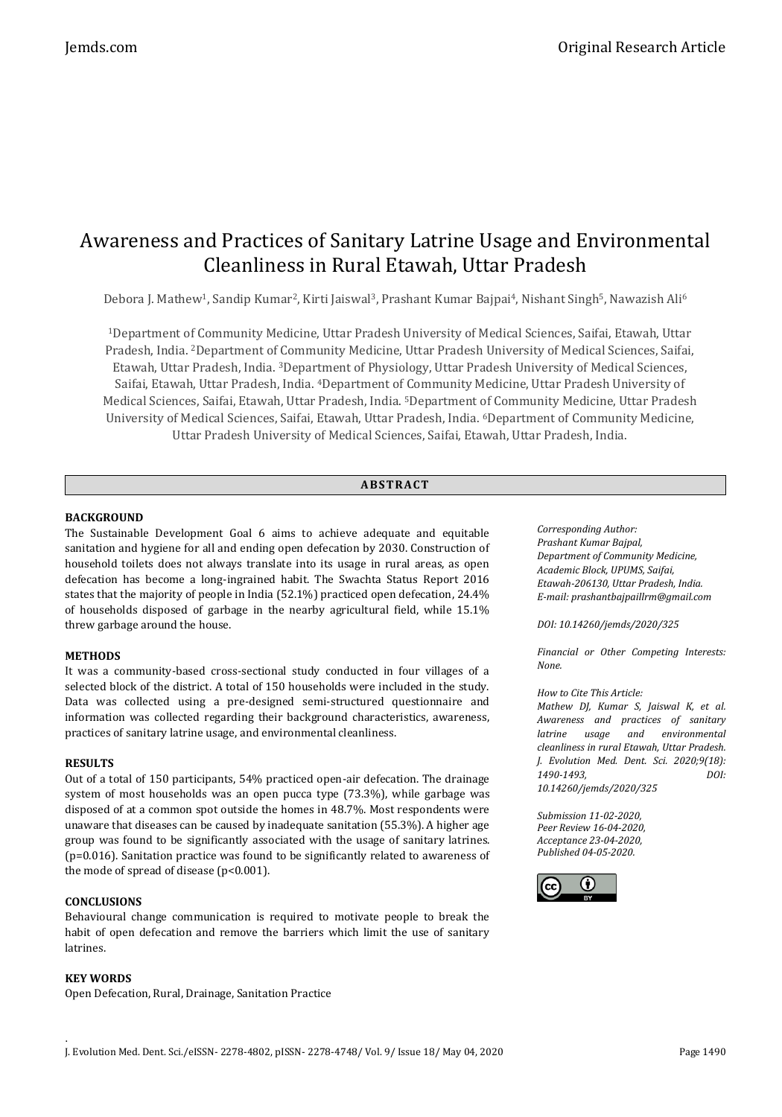# Awareness and Practices of Sanitary Latrine Usage and Environmental Cleanliness in Rural Etawah, Uttar Pradesh

Debora J. Mathew<sup>1</sup>, Sandip Kumar<sup>2</sup>, Kirti Jaiswal<sup>3</sup>, Prashant Kumar Bajpai<sup>4</sup>, Nishant Singh<sup>5</sup>, Nawazish Ali<sup>6</sup>

<sup>1</sup>Department of Community Medicine, Uttar Pradesh University of Medical Sciences, Saifai, Etawah, Uttar Pradesh, India. <sup>2</sup>Department of Community Medicine, Uttar Pradesh University of Medical Sciences, Saifai, Etawah, Uttar Pradesh, India. <sup>3</sup>Department of Physiology, Uttar Pradesh University of Medical Sciences, Saifai, Etawah, Uttar Pradesh, India. <sup>4</sup>Department of Community Medicine, Uttar Pradesh University of Medical Sciences, Saifai, Etawah, Uttar Pradesh, India. <sup>5</sup>Department of Community Medicine, Uttar Pradesh University of Medical Sciences, Saifai, Etawah, Uttar Pradesh, India. <sup>6</sup>Department of Community Medicine, Uttar Pradesh University of Medical Sciences, Saifai, Etawah, Uttar Pradesh, India.

# **ABS TR ACT**

# **BACKGROUND**

The Sustainable Development Goal 6 aims to achieve adequate and equitable sanitation and hygiene for all and ending open defecation by 2030. Construction of household toilets does not always translate into its usage in rural areas, as open defecation has become a long-ingrained habit. The Swachta Status Report 2016 states that the majority of people in India (52.1%) practiced open defecation, 24.4% of households disposed of garbage in the nearby agricultural field, while 15.1% threw garbage around the house.

### **METHODS**

It was a community-based cross-sectional study conducted in four villages of a selected block of the district. A total of 150 households were included in the study. Data was collected using a pre-designed semi-structured questionnaire and information was collected regarding their background characteristics, awareness, practices of sanitary latrine usage, and environmental cleanliness.

### **RESULTS**

Out of a total of 150 participants, 54% practiced open-air defecation. The drainage system of most households was an open pucca type (73.3%), while garbage was disposed of at a common spot outside the homes in 48.7%. Most respondents were unaware that diseases can be caused by inadequate sanitation (55.3%). A higher age group was found to be significantly associated with the usage of sanitary latrines. (p=0.016). Sanitation practice was found to be significantly related to awareness of the mode of spread of disease  $(p<0.001)$ .

# **CONCLUSIONS**

Behavioural change communication is required to motivate people to break the habit of open defecation and remove the barriers which limit the use of sanitary latrines.

# **KEY WORDS**

Open Defecation, Rural, Drainage, Sanitation Practice

*Corresponding Author: Prashant Kumar Bajpal, Department of Community Medicine, Academic Block, UPUMS, Saifai, Etawah-206130, Uttar Pradesh, India. E-mail: prashantbajpaillrm@gmail.com*

*DOI: 10.14260/jemds/2020/325*

*Financial or Other Competing Interests: None.*

# *How to Cite This Article:*

*Mathew DJ, Kumar S, Jaiswal K, et al. Awareness and practices of sanitary latrine usage and environmental cleanliness in rural Etawah, Uttar Pradesh. J. Evolution Med. Dent. Sci. 2020;9(18): 1490-1493, DOI: 10.14260/jemds/2020/325*

*Submission 11-02-2020, Peer Review 16-04-2020, Acceptance 23-04-2020, Published 04-05-2020.*

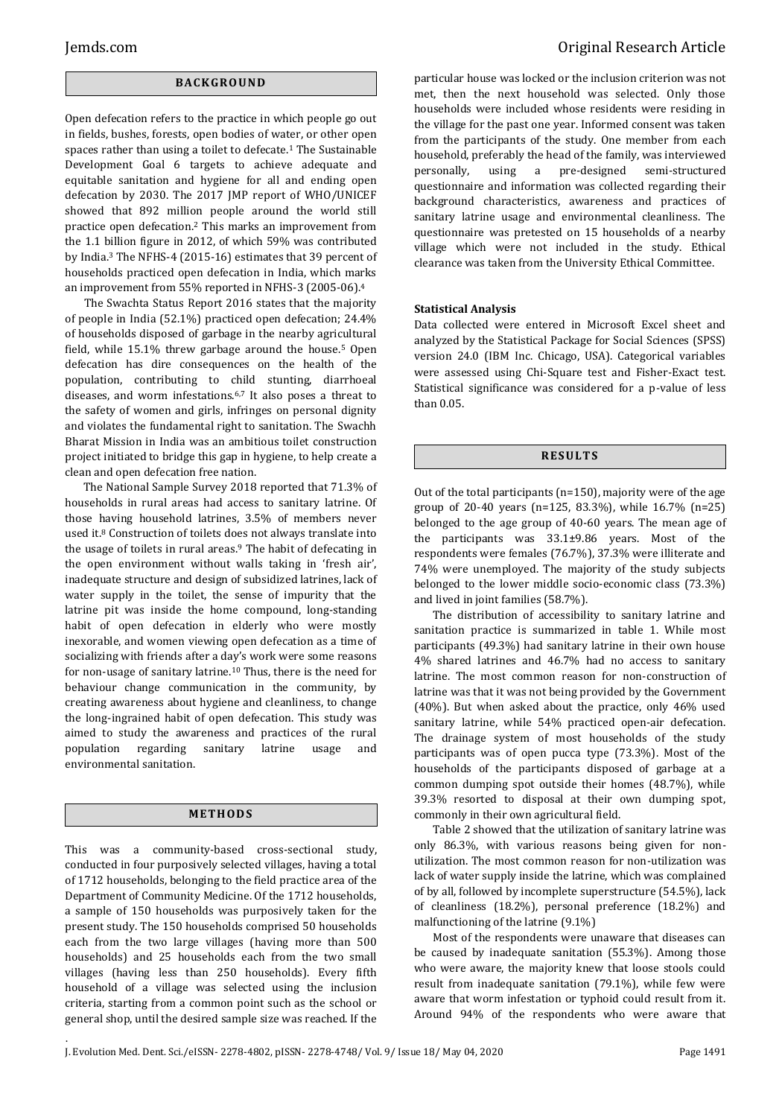# **BACK GR O U ND**

Open defecation refers to the practice in which people go out in fields, bushes, forests, open bodies of water, or other open spaces rather than using a toilet to defecate.<sup>1</sup> The Sustainable Development Goal 6 targets to achieve adequate and equitable sanitation and hygiene for all and ending open defecation by 2030. The 2017 JMP report of WHO/UNICEF showed that 892 million people around the world still practice open defecation.<sup>2</sup> This marks an improvement from the 1.1 billion figure in 2012, of which 59% was contributed by India.<sup>3</sup> The NFHS-4 (2015-16) estimates that 39 percent of households practiced open defecation in India, which marks an improvement from 55% reported in NFHS-3 (2005-06).<sup>4</sup>

The Swachta Status Report 2016 states that the majority of people in India (52.1%) practiced open defecation; 24.4% of households disposed of garbage in the nearby agricultural field, while 15.1% threw garbage around the house.<sup>5</sup> Open defecation has dire consequences on the health of the population, contributing to child stunting, diarrhoeal diseases, and worm infestations.6,7 It also poses a threat to the safety of women and girls, infringes on personal dignity and violates the fundamental right to sanitation. The Swachh Bharat Mission in India was an ambitious toilet construction project initiated to bridge this gap in hygiene, to help create a clean and open defecation free nation.

The National Sample Survey 2018 reported that 71.3% of households in rural areas had access to sanitary latrine. Of those having household latrines, 3.5% of members never used it.<sup>8</sup> Construction of toilets does not always translate into the usage of toilets in rural areas.<sup>9</sup> The habit of defecating in the open environment without walls taking in 'fresh air', inadequate structure and design of subsidized latrines, lack of water supply in the toilet, the sense of impurity that the latrine pit was inside the home compound, long-standing habit of open defecation in elderly who were mostly inexorable, and women viewing open defecation as a time of socializing with friends after a day's work were some reasons for non-usage of sanitary latrine.<sup>10</sup> Thus, there is the need for behaviour change communication in the community, by creating awareness about hygiene and cleanliness, to change the long-ingrained habit of open defecation. This study was aimed to study the awareness and practices of the rural population regarding sanitary latrine usage and environmental sanitation.

#### **ME TH OD S**

This was a community-based cross-sectional study, conducted in four purposively selected villages, having a total of 1712 households, belonging to the field practice area of the Department of Community Medicine. Of the 1712 households, a sample of 150 households was purposively taken for the present study. The 150 households comprised 50 households each from the two large villages (having more than 500 households) and 25 households each from the two small villages (having less than 250 households). Every fifth household of a village was selected using the inclusion criteria, starting from a common point such as the school or general shop, until the desired sample size was reached. If the

.

particular house was locked or the inclusion criterion was not met, then the next household was selected. Only those households were included whose residents were residing in the village for the past one year. Informed consent was taken from the participants of the study. One member from each household, preferably the head of the family, was interviewed personally, using a pre-designed semi-structured questionnaire and information was collected regarding their background characteristics, awareness and practices of sanitary latrine usage and environmental cleanliness. The questionnaire was pretested on 15 households of a nearby village which were not included in the study. Ethical clearance was taken from the University Ethical Committee.

#### **Statistical Analysis**

Data collected were entered in Microsoft Excel sheet and analyzed by the Statistical Package for Social Sciences (SPSS) version 24.0 (IBM Inc. Chicago, USA). Categorical variables were assessed using Chi-Square test and Fisher-Exact test. Statistical significance was considered for a p-value of less than 0.05.

# **R ES U LT S**

Out of the total participants (n=150), majority were of the age group of 20-40 years (n=125, 83.3%), while 16.7% (n=25) belonged to the age group of 40-60 years. The mean age of the participants was 33.1±9.86 years. Most of the respondents were females (76.7%), 37.3% were illiterate and 74% were unemployed. The majority of the study subjects belonged to the lower middle socio-economic class (73.3%) and lived in joint families (58.7%).

The distribution of accessibility to sanitary latrine and sanitation practice is summarized in table 1. While most participants (49.3%) had sanitary latrine in their own house 4% shared latrines and 46.7% had no access to sanitary latrine. The most common reason for non-construction of latrine was that it was not being provided by the Government (40%). But when asked about the practice, only 46% used sanitary latrine, while 54% practiced open-air defecation. The drainage system of most households of the study participants was of open pucca type (73.3%). Most of the households of the participants disposed of garbage at a common dumping spot outside their homes (48.7%), while 39.3% resorted to disposal at their own dumping spot, commonly in their own agricultural field.

Table 2 showed that the utilization of sanitary latrine was only 86.3%, with various reasons being given for nonutilization. The most common reason for non-utilization was lack of water supply inside the latrine, which was complained of by all, followed by incomplete superstructure (54.5%), lack of cleanliness (18.2%), personal preference (18.2%) and malfunctioning of the latrine (9.1%)

Most of the respondents were unaware that diseases can be caused by inadequate sanitation (55.3%). Among those who were aware, the majority knew that loose stools could result from inadequate sanitation (79.1%), while few were aware that worm infestation or typhoid could result from it. Around 94% of the respondents who were aware that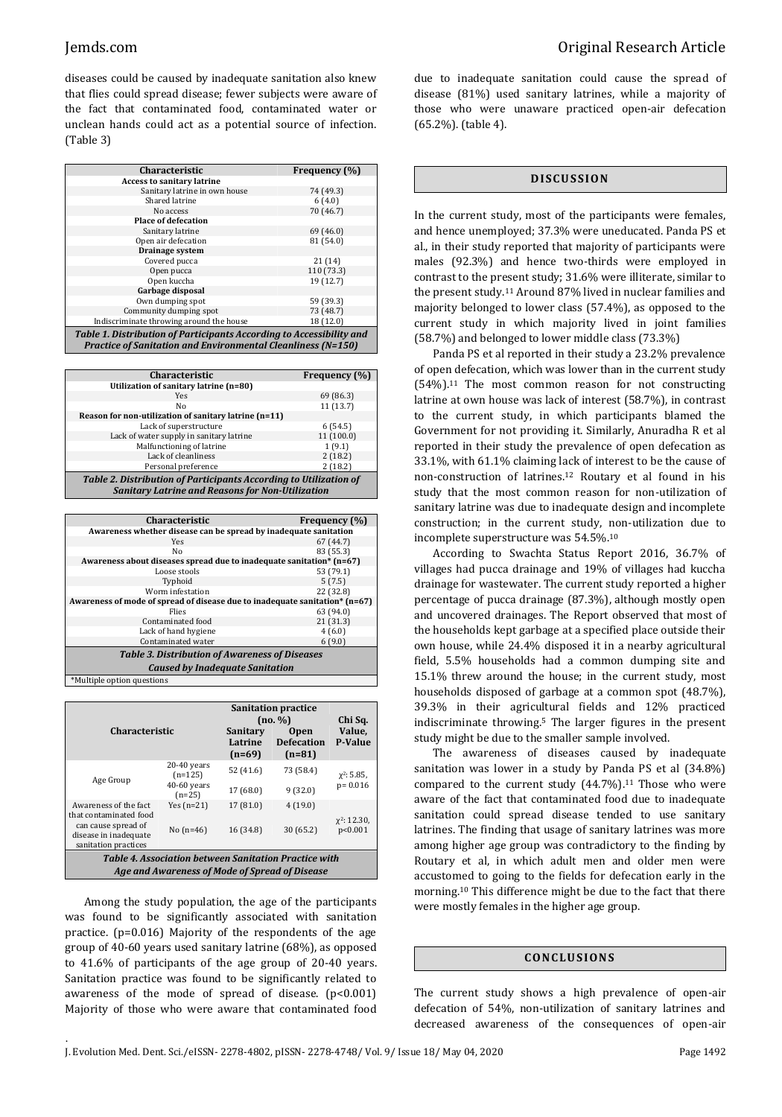diseases could be caused by inadequate sanitation also knew that flies could spread disease; fewer subjects were aware of the fact that contaminated food, contaminated water or unclean hands could act as a potential source of infection. (Table 3)

| <b>Characteristic</b>                                                | <b>Frequency</b> (%) |  |  |  |
|----------------------------------------------------------------------|----------------------|--|--|--|
| <b>Access to sanitary latrine</b>                                    |                      |  |  |  |
| Sanitary latrine in own house                                        | 74 (49.3)            |  |  |  |
| Shared latrine                                                       | 6(4.0)               |  |  |  |
| No access                                                            | 70 (46.7)            |  |  |  |
| <b>Place of defecation</b>                                           |                      |  |  |  |
| Sanitary latrine                                                     | 69 (46.0)            |  |  |  |
| Open air defecation                                                  | 81 (54.0)            |  |  |  |
| Drainage system                                                      |                      |  |  |  |
| Covered pucca                                                        | 21(14)               |  |  |  |
| Open pucca                                                           | 110 (73.3)           |  |  |  |
| Open kuccha                                                          | 19 (12.7)            |  |  |  |
| Garbage disposal                                                     |                      |  |  |  |
| Own dumping spot                                                     | 59 (39.3)            |  |  |  |
| Community dumping spot                                               | 73 (48.7)            |  |  |  |
| Indiscriminate throwing around the house                             | 18 (12.0)            |  |  |  |
| Table 1. Distribution of Participants According to Accessibility and |                      |  |  |  |
| <b>Practice of Sanitation and Environmental Cleanliness (N=150)</b>  |                      |  |  |  |

| <b>Characteristic</b>                                                                                                        | <b>Frequency</b> (%) |  |  |  |
|------------------------------------------------------------------------------------------------------------------------------|----------------------|--|--|--|
| Utilization of sanitary latrine (n=80)                                                                                       |                      |  |  |  |
| Yes                                                                                                                          | 69 (86.3)            |  |  |  |
| No                                                                                                                           | 11(13.7)             |  |  |  |
| Reason for non-utilization of sanitary latrine (n=11)                                                                        |                      |  |  |  |
| Lack of superstructure                                                                                                       | 6(54.5)              |  |  |  |
| Lack of water supply in sanitary latrine                                                                                     | 11(100.0)            |  |  |  |
| Malfunctioning of latrine                                                                                                    | 1(9.1)               |  |  |  |
| Lack of cleanliness                                                                                                          | 2(18.2)              |  |  |  |
| Personal preference                                                                                                          | 2(18.2)              |  |  |  |
| Table 2. Distribution of Participants According to Utilization of<br><b>Sanitary Latrine and Reasons for Non-Utilization</b> |                      |  |  |  |
|                                                                                                                              |                      |  |  |  |

| <b>Characteristic</b><br>Frequency (%)                                      |           |  |  |  |
|-----------------------------------------------------------------------------|-----------|--|--|--|
| Awareness whether disease can be spread by inadequate sanitation            |           |  |  |  |
| Yes                                                                         | 67(44.7)  |  |  |  |
| Nο                                                                          | 83 (55.3) |  |  |  |
| Awareness about diseases spread due to inadequate sanitation* (n=67)        |           |  |  |  |
| Loose stools                                                                | 53 (79.1) |  |  |  |
| Typhoid                                                                     | 5(7.5)    |  |  |  |
| Worm infestation                                                            | 22 (32.8) |  |  |  |
| Awareness of mode of spread of disease due to inadequate sanitation* (n=67) |           |  |  |  |
| Flies                                                                       | 63 (94.0) |  |  |  |
| Contaminated food                                                           | 21 (31.3) |  |  |  |
| Lack of hand hygiene                                                        | 4(6.0)    |  |  |  |
| Contaminated water                                                          | 6(9.0)    |  |  |  |
| <b>Table 3. Distribution of Awareness of Diseases</b>                       |           |  |  |  |
| <b>Caused by Inadequate Sanitation</b>                                      |           |  |  |  |
| *Multiple option questions                                                  |           |  |  |  |

| <b>Characteristic</b>                                                                                                   |                                                         | Sanitary<br>Latrine<br>$(n=69)$ | <b>Sanitation practice</b><br>(no. %)<br><b>Open</b><br><b>Defecation</b><br>$(n=81)$ | Chi Sq.<br>Value,<br><b>P-Value</b> |
|-------------------------------------------------------------------------------------------------------------------------|---------------------------------------------------------|---------------------------------|---------------------------------------------------------------------------------------|-------------------------------------|
| Age Group                                                                                                               | $20-40$ years<br>$(n=125)$<br>$40-60$ years<br>$(n=25)$ | 52 (41.6)<br>17 (68.0)          | 73 (58.4)<br>9(32.0)                                                                  | $x^2$ : 5.85,<br>$p = 0.016$        |
| Awareness of the fact<br>that contaminated food<br>can cause spread of<br>disease in inadequate<br>sanitation practices | Yes $(n=21)$<br>No $(n=46)$                             | 17 (81.0)<br>16 (34.8)          | 4(19.0)<br>30(65.2)                                                                   | $\chi^2$ : 12.30,<br>p<0.001        |
| <b>Table 4. Association between Sanitation Practice with</b><br>Age and Awareness of Mode of Spread of Disease          |                                                         |                                 |                                                                                       |                                     |

Among the study population, the age of the participants was found to be significantly associated with sanitation practice. (p=0.016) Majority of the respondents of the age group of 40-60 years used sanitary latrine (68%), as opposed to 41.6% of participants of the age group of 20-40 years. Sanitation practice was found to be significantly related to awareness of the mode of spread of disease.  $(p<0.001)$ Majority of those who were aware that contaminated food

.

due to inadequate sanitation could cause the spread of disease (81%) used sanitary latrines, while a majority of those who were unaware practiced open-air defecation (65.2%). (table 4).

#### **DI SCU S SI ON**

In the current study, most of the participants were females, and hence unemployed; 37.3% were uneducated. Panda PS et al., in their study reported that majority of participants were males (92.3%) and hence two-thirds were employed in contrast to the present study; 31.6% were illiterate, similar to the present study.<sup>11</sup> Around 87% lived in nuclear families and majority belonged to lower class (57.4%), as opposed to the current study in which majority lived in joint families (58.7%) and belonged to lower middle class (73.3%)

Panda PS et al reported in their study a 23.2% prevalence of open defecation, which was lower than in the current study (54%).<sup>11</sup> The most common reason for not constructing latrine at own house was lack of interest (58.7%), in contrast to the current study, in which participants blamed the Government for not providing it. Similarly, Anuradha R et al reported in their study the prevalence of open defecation as 33.1%, with 61.1% claiming lack of interest to be the cause of non-construction of latrines.<sup>12</sup> Routary et al found in his study that the most common reason for non-utilization of sanitary latrine was due to inadequate design and incomplete construction; in the current study, non-utilization due to incomplete superstructure was 54.5%.<sup>10</sup>

According to Swachta Status Report 2016, 36.7% of villages had pucca drainage and 19% of villages had kuccha drainage for wastewater. The current study reported a higher percentage of pucca drainage (87.3%), although mostly open and uncovered drainages. The Report observed that most of the households kept garbage at a specified place outside their own house, while 24.4% disposed it in a nearby agricultural field, 5.5% households had a common dumping site and 15.1% threw around the house; in the current study, most households disposed of garbage at a common spot (48.7%), 39.3% in their agricultural fields and 12% practiced indiscriminate throwing.<sup>5</sup> The larger figures in the present study might be due to the smaller sample involved.

The awareness of diseases caused by inadequate sanitation was lower in a study by Panda PS et al (34.8%) compared to the current study  $(44.7\%)$ .<sup>11</sup> Those who were aware of the fact that contaminated food due to inadequate sanitation could spread disease tended to use sanitary latrines. The finding that usage of sanitary latrines was more among higher age group was contradictory to the finding by Routary et al, in which adult men and older men were accustomed to going to the fields for defecation early in the morning.<sup>10</sup> This difference might be due to the fact that there were mostly females in the higher age group.

#### **CONC LU S ION S**

The current study shows a high prevalence of open-air defecation of 54%, non-utilization of sanitary latrines and decreased awareness of the consequences of open-air